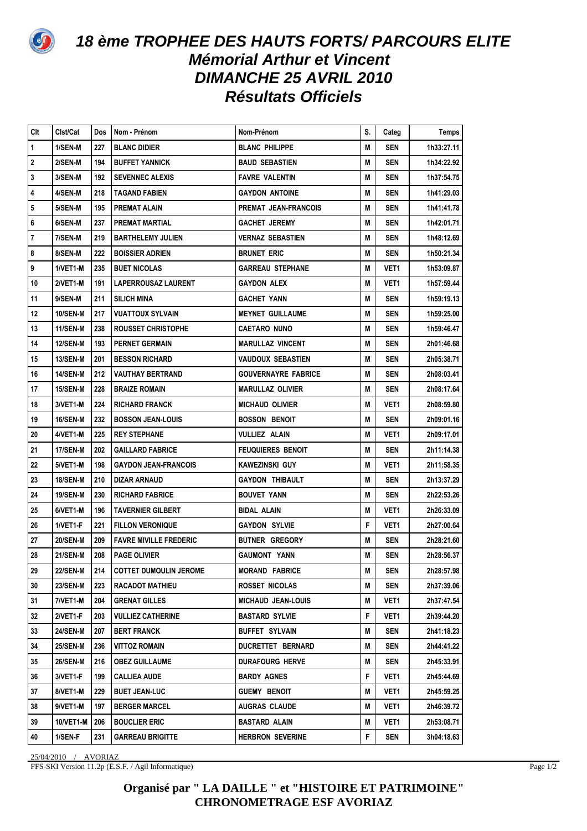

## 18 ème TROPHEE DES HAUTS FORTS/PARCOURS ELITE **Mémorial Arthur et Vincent DIMANCHE 25 AVRIL 2010 Résultats Officiels**

| Clt              | Clst/Cat         | Dos | Nom - Prénom                  | Nom-Prénom                 | S. | Categ            | Temps      |
|------------------|------------------|-----|-------------------------------|----------------------------|----|------------------|------------|
| $\mathbf{1}$     | 1/SEN-M          | 227 | <b>BLANC DIDIER</b>           | <b>BLANC PHILIPPE</b>      | M  | <b>SEN</b>       | 1h33:27.11 |
| $\boldsymbol{2}$ | 2/SEN-M          | 194 | <b>BUFFET YANNICK</b>         | <b>BAUD SEBASTIEN</b>      | M  | <b>SEN</b>       | 1h34:22.92 |
| $\mathbf 3$      | 3/SEN-M          | 192 | <b>SEVENNEC ALEXIS</b>        | <b>FAVRE VALENTIN</b>      | M  | <b>SEN</b>       | 1h37:54.75 |
| $\pmb{4}$        | 4/SEN-M          | 218 | <b>TAGAND FABIEN</b>          | GAYDON ANTOINE             | M  | SEN              | 1h41:29.03 |
| 5                | 5/SEN-M          | 195 | PREMAT ALAIN                  | PREMAT JEAN-FRANCOIS       | M  | <b>SEN</b>       | 1h41:41.78 |
| 6                | 6/SEN-M          | 237 | PREMAT MARTIAL                | <b>GACHET JEREMY</b>       | M  | <b>SEN</b>       | 1h42:01.71 |
| $\overline{7}$   | 7/SEN-M          | 219 | <b>BARTHELEMY JULIEN</b>      | VERNAZ SEBASTIEN           | M  | <b>SEN</b>       | 1h48:12.69 |
| 8                | 8/SEN-M          | 222 | <b>BOISSIER ADRIEN</b>        | <b>BRUNET ERIC</b>         | M  | <b>SEN</b>       | 1h50:21.34 |
| 9                | <b>1/VET1-M</b>  | 235 | <b>BUET NICOLAS</b>           | GARREAU STEPHANE           | M  | VET <sub>1</sub> | 1h53:09.87 |
| 10               | 2/VET1-M         | 191 | <b>LAPERROUSAZ LAURENT</b>    | <b>GAYDON ALEX</b>         | M  | VET <sub>1</sub> | 1h57:59.44 |
| 11               | 9/SEN-M          | 211 | SILICH MINA                   | GACHET YANN                | M  | <b>SEN</b>       | 1h59:19.13 |
| 12               | <b>10/SEN-M</b>  | 217 | <b>VUATTOUX SYLVAIN</b>       | <b>MEYNET GUILLAUME</b>    | M  | <b>SEN</b>       | 1h59:25.00 |
| 13               | <b>11/SEN-M</b>  | 238 | ROUSSET CHRISTOPHE            | CAETARO NUNO               | M  | <b>SEN</b>       | 1h59:46.47 |
| 14               | <b>12/SEN-M</b>  | 193 | <b>PERNET GERMAIN</b>         | <b>MARULLAZ VINCENT</b>    | M  | <b>SEN</b>       | 2h01:46.68 |
| 15               | <b>13/SEN-M</b>  | 201 | <b>BESSON RICHARD</b>         | VAUDOUX SEBASTIEN          | M  | <b>SEN</b>       | 2h05:38.71 |
| 16               | 14/SEN-M         | 212 | <b>VAUTHAY BERTRAND</b>       | <b>GOUVERNAYRE FABRICE</b> | M  | SEN              | 2h08:03.41 |
| 17               | <b>15/SEN-M</b>  | 228 | <b>BRAIZE ROMAIN</b>          | <b>MARULLAZ OLIVIER</b>    | M  | SEN              | 2h08:17.64 |
| 18               | 3/VET1-M         | 224 | <b>RICHARD FRANCK</b>         | <b>MICHAUD OLIVIER</b>     | M  | VET <sub>1</sub> | 2h08:59.80 |
| 19               | <b>16/SEN-M</b>  | 232 | <b>BOSSON JEAN-LOUIS</b>      | <b>BOSSON BENOIT</b>       | M  | SEN              | 2h09:01.16 |
| 20               | 4/VET1-M         | 225 | <b>REY STEPHANE</b>           | VULLIEZ ALAIN              | M  | VET <sub>1</sub> | 2h09:17.01 |
| 21               | <b>17/SEN-M</b>  | 202 | <b>GAILLARD FABRICE</b>       | <b>FEUQUIERES BENOIT</b>   | M  | <b>SEN</b>       | 2h11:14.38 |
| 22               | 5/VET1-M         | 198 | <b>GAYDON JEAN-FRANCOIS</b>   | KAWEZINSKI GUY             | M  | VET1             | 2h11:58.35 |
| 23               | <b>18/SEN-M</b>  | 210 | DIZAR ARNAUD                  | GAYDON THIBAULT            | M  | SEN              | 2h13:37.29 |
| 24               | <b>19/SEN-M</b>  | 230 | <b>RICHARD FABRICE</b>        | <b>BOUVET YANN</b>         | M  | <b>SEN</b>       | 2h22:53.26 |
| 25               | 6/VET1-M         | 196 | <b>TAVERNIER GILBERT</b>      | <b>BIDAL ALAIN</b>         | M  | VET1             | 2h26:33.09 |
| 26               | 1/VET1-F         | 221 | <b>FILLON VERONIQUE</b>       | GAYDON SYLVIE              | F  | VET1             | 2h27:00.64 |
| 27               | 20/SEN-M         | 209 | <b>FAVRE MIVILLE FREDERIC</b> | <b>BUTNER GREGORY</b>      | M  | <b>SEN</b>       | 2h28:21.60 |
| 28               | 21/SEN-M         | 208 | <b>PAGE OLIVIER</b>           | <b>GAUMONT YANN</b>        | M  | SEN              | 2h28:56.37 |
| $\sqrt{29}$      | <b>22/SEN-M</b>  | 214 | <b>COTTET DUMOULIN JEROME</b> | <b>MORAND FABRICE</b>      | M  | <b>SEN</b>       | 2h28:57.98 |
| 30               | <b>23/SEN-M</b>  | 223 | <b>RACADOT MATHIEU</b>        | ROSSET NICOLAS             | M  | SEN              | 2h37:39.06 |
| 31               | 7/VET1-M         | 204 | <b>GRENAT GILLES</b>          | <b>MICHAUD JEAN-LOUIS</b>  | M  | <b>VET1</b>      | 2h37:47.54 |
| 32               | 2/VET1-F         | 203 | <b>VULLIEZ CATHERINE</b>      | <b>BASTARD SYLVIE</b>      | F. | VET1             | 2h39:44.20 |
| 33               | <b>24/SEN-M</b>  | 207 | <b>BERT FRANCK</b>            | <b>BUFFET SYLVAIN</b>      | M  | SEN              | 2h41:18.23 |
| 34               | <b>25/SEN-M</b>  | 236 | VITTOZ ROMAIN                 | DUCRETTET BERNARD          | M  | SEN              | 2h44:41.22 |
| 35               | <b>26/SEN-M</b>  | 216 | <b>OBEZ GUILLAUME</b>         | DURAFOURG HERVE            | M  | SEN              | 2h45:33.91 |
| 36               | 3/VET1-F         | 199 | CALLIEA AUDE                  | BARDY AGNES                | F  | VET1             | 2h45:44.69 |
| 37               | 8/VET1-M         | 229 | <b>BUET JEAN-LUC</b>          | <b>GUEMY BENOIT</b>        | M  | VET1             | 2h45:59.25 |
| 38               | 9/VET1-M         | 197 | <b>BERGER MARCEL</b>          | AUGRAS CLAUDE              | M  | VET1             | 2h46:39.72 |
| 39               | <b>10/VET1-M</b> | 206 | <b>BOUCLIER ERIC</b>          | <b>BASTARD ALAIN</b>       | M  | VET1             | 2h53:08.71 |
| 40               | 1/SEN-F          | 231 | <b>GARREAU BRIGITTE</b>       | HERBRON SEVERINE           | F  | SEN              | 3h04:18.63 |
|                  |                  |     |                               |                            |    |                  |            |

25/04/2010 / AVORIAZ